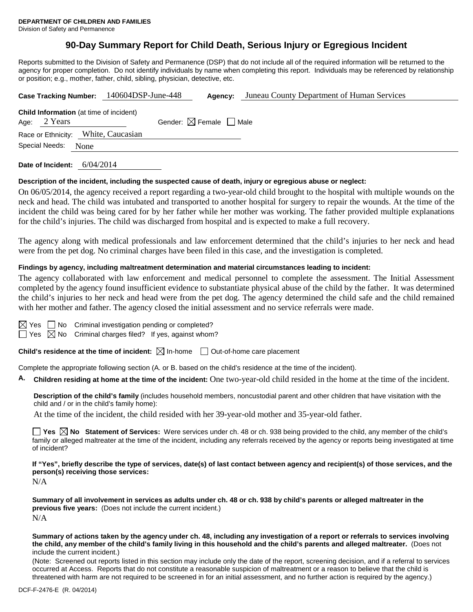Division of Safety and Permanence

## **90-Day Summary Report for Child Death, Serious Injury or Egregious Incident**

Reports submitted to the Division of Safety and Permanence (DSP) that do not include all of the required information will be returned to the agency for proper completion. Do not identify individuals by name when completing this report. Individuals may be referenced by relationship or position; e.g., mother, father, child, sibling, physician, detective, etc.

|                                                                  | Case Tracking Number: 140604DSP-June-448 | Agency:                                | Juneau County Department of Human Services |  |
|------------------------------------------------------------------|------------------------------------------|----------------------------------------|--------------------------------------------|--|
| <b>Child Information</b> (at time of incident)<br>Age: $2$ Years |                                          | Gender: $\boxtimes$ Female $\Box$ Male |                                            |  |
| Race or Ethnicity: White, Caucasian                              |                                          |                                        |                                            |  |
| Special Needs:<br><b>None</b>                                    |                                          |                                        |                                            |  |
|                                                                  |                                          |                                        |                                            |  |

**Date of Incident:** 6/04/2014

#### **Description of the incident, including the suspected cause of death, injury or egregious abuse or neglect:**

On 06/05/2014, the agency received a report regarding a two-year-old child brought to the hospital with multiple wounds on the neck and head. The child was intubated and transported to another hospital for surgery to repair the wounds. At the time of the incident the child was being cared for by her father while her mother was working. The father provided multiple explanations for the child's injuries. The child was discharged from hospital and is expected to make a full recovery.

The agency along with medical professionals and law enforcement determined that the child's injuries to her neck and head were from the pet dog. No criminal charges have been filed in this case, and the investigation is completed.

### **Findings by agency, including maltreatment determination and material circumstances leading to incident:**

The agency collaborated with law enforcement and medical personnel to complete the assessment. The Initial Assessment completed by the agency found insufficient evidence to substantiate physical abuse of the child by the father. It was determined the child's injuries to her neck and head were from the pet dog. The agency determined the child safe and the child remained with her mother and father. The agency closed the initial assessment and no service referrals were made.

 $\Box$  No Criminal investigation pending or completed?

 $\boxtimes$  No Criminal charges filed? If yes, against whom?

**Child's residence at the time of incident:**  $\boxtimes$  In-home  $\Box$  Out-of-home care placement

Complete the appropriate following section (A. or B. based on the child's residence at the time of the incident).

**A. Children residing at home at the time of the incident:** One two-year-old child resided in the home at the time of the incident.

**Description of the child's family** (includes household members, noncustodial parent and other children that have visitation with the child and / or in the child's family home):

At the time of the incident, the child resided with her 39-year-old mother and 35-year-old father.

**Yes**  $\boxtimes$  **No** Statement of Services: Were services under ch. 48 or ch. 938 being provided to the child, any member of the child's family or alleged maltreater at the time of the incident, including any referrals received by the agency or reports being investigated at time of incident?

**If "Yes", briefly describe the type of services, date(s) of last contact between agency and recipient(s) of those services, and the person(s) receiving those services:**

N/A

**Summary of all involvement in services as adults under ch. 48 or ch. 938 by child's parents or alleged maltreater in the previous five years:** (Does not include the current incident.) N/A

**Summary of actions taken by the agency under ch. 48, including any investigation of a report or referrals to services involving the child, any member of the child's family living in this household and the child's parents and alleged maltreater.** (Does not include the current incident.)

(Note: Screened out reports listed in this section may include only the date of the report, screening decision, and if a referral to services occurred at Access. Reports that do not constitute a reasonable suspicion of maltreatment or a reason to believe that the child is threatened with harm are not required to be screened in for an initial assessment, and no further action is required by the agency.)